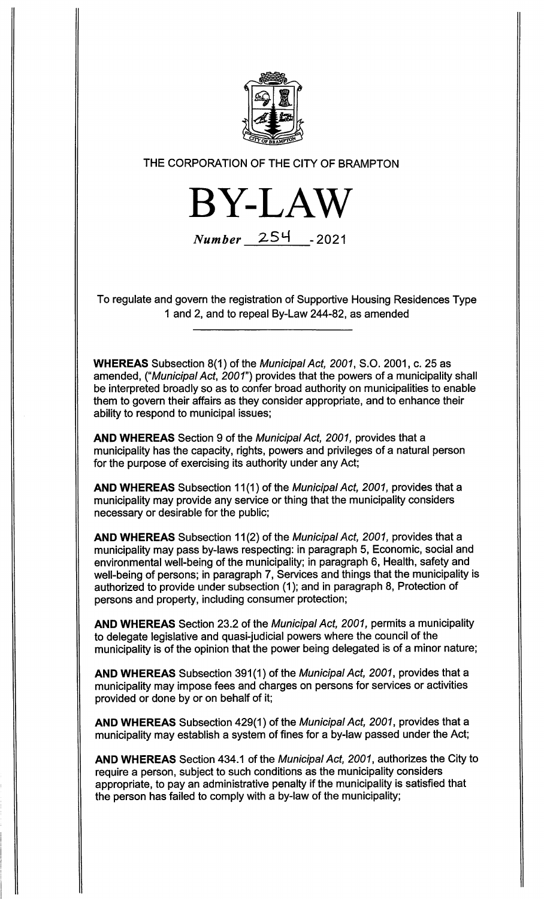

THE CORPORATION OF THE CITY OF BRAMPTON

BY-LAW Number 254 - 2021

To regulate and govern the registration of Supportive Housing Residences Type 1 and 2, and to repeal By-Law 244-82, as amended

WHEREAS Subsection 8(1) of the Municipal Act, 2001, S.O. 2001, c. 25 as amended, ("Municipal Act, 2001") provides that the powers of a municipality shall be interpreted broadly so as to confer broad authority on municipalities to enable them to govern their affairs as they consider appropriate, and to enhance their ability to respond to municipal issues;

AND WHEREAS Section 9 of the Municipal Act, 2001, provides that a municipality has the capacity, rights, powers and privileges of a natural person for the purpose of exercising its authority under any Act;

AND WHEREAS Subsection 11(1) of the Municipal Act, 2001, provides that a municipality may provide any service or thing that the municipality considers necessary or desirable for the public;

AND WHEREAS Subsection 11(2) of the Municipal Act, 2001, provides that a municipality may pass by-laws respecting: in paragraph 5, Economic, social and environmental well-being of the municipality; in paragraph 6, Health, safety and well-being of persons; in paragraph 7, Services and things that the municipality is authorized to provide under subsection (1); and in paragraph 8, Protection of persons and property, including consumer protection;

AND WHEREAS Section 23.2 of the Municipal Act, 2001, permits a municipality to delegate legislative and quasi-judicial powers where the council of the municipality is of the opinion that the power being delegated is of a minor nature;

AND WHEREAS Subsection 391(1) of the Municipal Act, 2001, provides that a municipality may impose fees and charges on persons for services or activities provided or done by or on behalf of it;

AND WHEREAS Subsection 429(1) of the Municipal Act, 2001, provides that a municipality may establish a system of fines for a by-law passed under the Act;

AND WHEREAS Section 434.1 of the Municipal Act, 2001, authorizes the City to require a person, subject to such conditions as the municipality considers appropriate, to pay an administrative penalty if the municipality is satisfied that the person has failed to comply with a by-law of the municipality;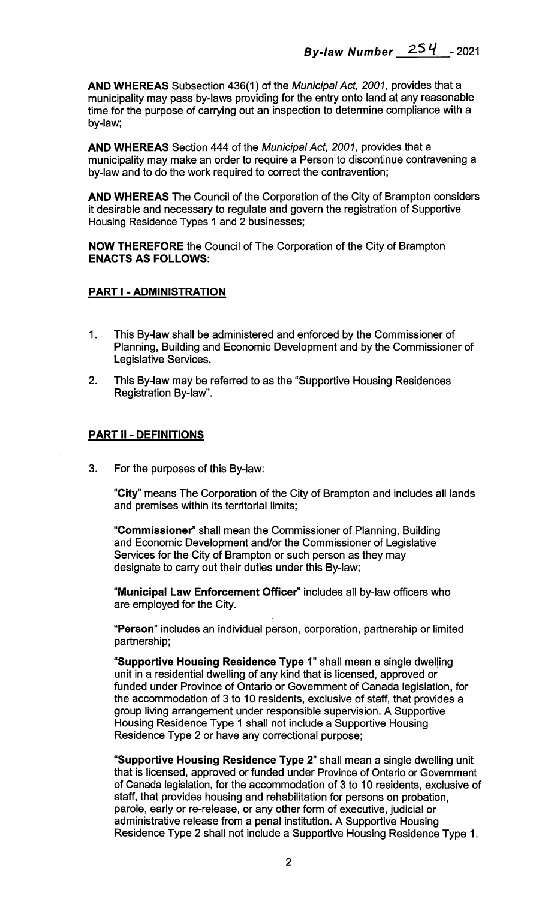AND WHEREAS Subsection 436(1) of the Municipal Act, 2001, provides that a municipality may pass by-laws providing for the entry onto land at any reasonable time for the purpose of carrying out an inspection to determine compliance with a by-law;

AND WHEREAS Section 444 of the Municipal Act, 2001, provides that a municipality may make an order to require a Person to discontinue contravening a by-law and to do the work required to correct the contravention;

AND WHEREAS The Council of the Corporation of the City of Brampton considers it desirable and necessary to regulate and govern the registration of Supportive Housing Residence Types 1 and 2 businesses;

NOW THEREFORE the Council of The Corporation of the City of Brampton ENACTS AS FOLLOWS:

## PART I - ADMINISTRATION

- 1. This By-law shall be administered and enforced by the Commissioner of Planning, Building and Economic Development and by the Commissioner of Legislative Services.
- 2. This By-law may be referred to as the "Supportive Housing Residences Registration By-law".

#### PART II - DEFINITIONS

3. For the purposes of this By-law:

"City" means The Corporation of the City of Brampton and includes all lands and premises within its territorial limits;

"Commissioner" shall mean the Commissioner of Planning, Building and Economic Development and/or the Commissioner of Legislative Services for the City of Brampton or such person as they may designate to carry out their duties under this By-law;

"Municipal Law Enforcement Officer" includes all by-law officers who are employed for the City.

"Person" includes an individual person, corporation, partnership or limited partnership;

"Supportive Housing Residence Type 1" shall mean a single dwelling unit in a residential dwelling of any kind that is licensed, approved or funded under Province of Ontario or Government of Canada legislation, for the accommodation of 3 to 10 residents, exclusive of staff, that provides a group living arrangement under responsible supervision. A Supportive Housing Residence Type 1 shall not include a Supportive Housing Residence Type 2 or have any correctional purpose;

"Supportive Housing Residence Type 2" shall mean a single dwelling unit that is licensed, approved or funded under Province of Ontario or Government of Canada legislation, for the accommodation of 3 to 10 residents, exclusive of staff, that provides housing and rehabilitation for persons on probation, parole, early or re-release, or any other form of executive, judicial or administrative release from a penal institution. A Supportive Housing Residence Type 2 shall not include a Supportive Housing Residence Type 1.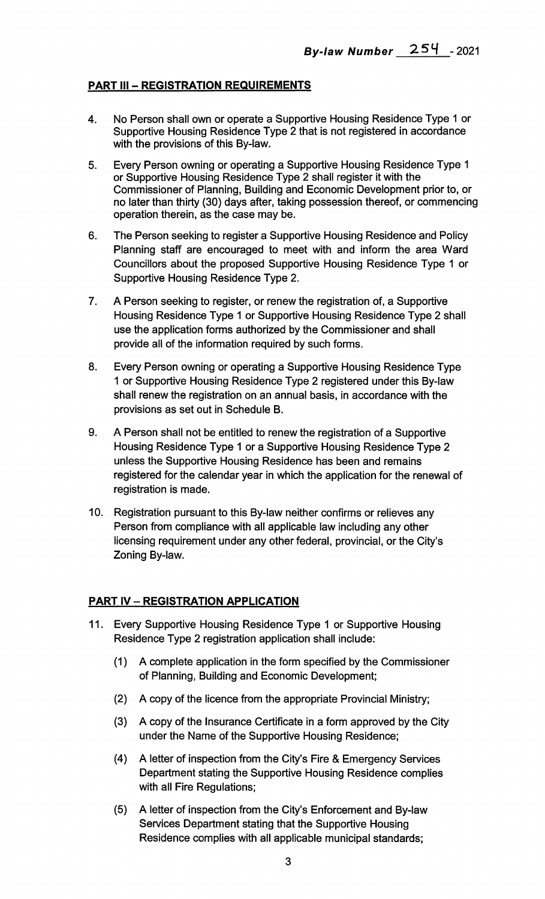## PART III - REGISTRATION REQUIREMENTS

- 4. No Person shall own or operate a Supportive Housing Residence Type 1 or Supportive Housing Residence Type 2 that is not registered in accordance with the provisions of this By-law.
- 5. Every Person owning or operating a Supportive Housing Residence Type 1 or Supportive Housing Residence Type 2 shall register it with the Commissioner of Planning, Building and Economic Development prior to, or no later than thirty (30) days after, taking possession thereof, or commencing operation therein, as the case may be.
- 6. The Person seeking to register a Supportive Housing Residence and Policy Planning staff are encouraged to meet with and inform the area Ward Councillors about the proposed Supportive Housing Residence Type 1 or Supportive Housing Residence Type 2.
- 7. A Person seeking to register, or renew the registration of, a Supportive Housing Residence Type 1 or Supportive Housing Residence Type 2 shall use the application forms authorized by the Commissioner and shall provide all of the information required by such forms.
- 8. Every Person owning or operating a Supportive Housing Residence Type 1 or Supportive Housing Residence Type 2 registered under this By-law shall renew the registration on an annual basis, in accordance with the provisions as set out in Schedule B.
- 9. A Person shall not be entitled to renew the registration of a Supportive Housing Residence Type 1 or a Supportive Housing Residence Type 2 unless the Supportive Housing Residence has been and remains registered for the calendar year in which the application for the renewal of registration is made.
- 10. Registration pursuant to this By-law neither confirms or relieves any Person from compliance with all applicable law including any other licensing requirement under any other federal, provincial, or the City's Zoning By-law.

## PART IV — REGISTRATION APPLICATION

- 11. Every Supportive Housing Residence Type 1 or Supportive Housing Residence Type 2 registration application shall include:
	- (1) A complete application in the form specified by the Commissioner of Planning, Building and Economic Development;
	- (2) A copy of the licence from the appropriate Provincial Ministry;
	- (3) A copy of the Insurance Certificate in a form approved by the City under the Name of the Supportive Housing Residence;
	- (4) A letter of inspection from the City's Fire & Emergency Services Department stating the Supportive Housing Residence complies with all Fire Regulations;
	- (5) A letter of inspection from the City's Enforcement and By-law Services Department stating that the Supportive Housing Residence complies with all applicable municipal standards;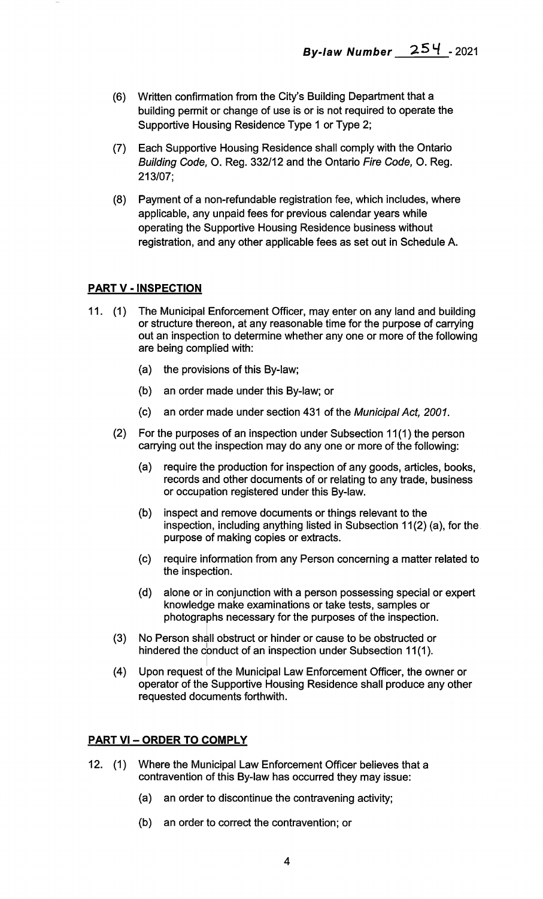- (6) Written confirmation from the City's Building Department that a building permit or change of use is or is not required to operate the Supportive Housing Residence Type 1 or Type 2;
- (7) Each Supportive Housing Residence shall comply with the Ontario Building Code, O. Reg. 332/12 and the Ontario Fire Code, O. Reg. 213/07;
- (8) Payment of a non-refundable registration fee, which includes, where applicable, any unpaid fees for previous calendar years while operating the Supportive Housing Residence business without registration, and any other applicable fees as set out in Schedule A.

## PART V - INSPECTION

- 11. (1) The Municipal Enforcement Officer, may enter on any land and building or structure thereon, at any reasonable time for the purpose of carrying out an inspection to determine whether any one or more of the following are being complied with:
	- (a) the provisions of this By-law;
	- (b) an order made under this By-law; or
	- (c) an order made under section 431 of the Municipal Act, 2001.
	- (2) For the purposes of an inspection under Subsection 11(1) the person carrying out the inspection may do any one or more of the following:
		- (a) require the production for inspection of any goods, articles, books, records and other documents of or relating to any trade, business or occupation registered under this By-law.
		- (b) inspect and remove documents or things relevant to the inspection, including anything listed in Subsection 11(2) (a), for the purpose of making copies or extracts.
		- (c) require information from any Person concerning a matter related to the inspection.
		- (d) alone or in conjunction with a person possessing special or expert knowledge make examinations or take tests, samples or photographs necessary for the purposes of the inspection.
	- No Person shall obstruct or hinder or cause to be obstructed or hindered the conduct of an inspection under Subsection 11(1). (3)
	- (4) Upon request of the Municipal Law Enforcement Officer, the owner or operator of the Supportive Housing Residence shall produce any other requested documents forthwith.

## PART VI - ORDER TO COMPLY

- 12. (1) Where the Municipal Law Enforcement Officer believes that a contravention of this By-law has occurred they may issue:
	- (a) an order to discontinue the contravening activity;
	- (b) an order to correct the contravention; or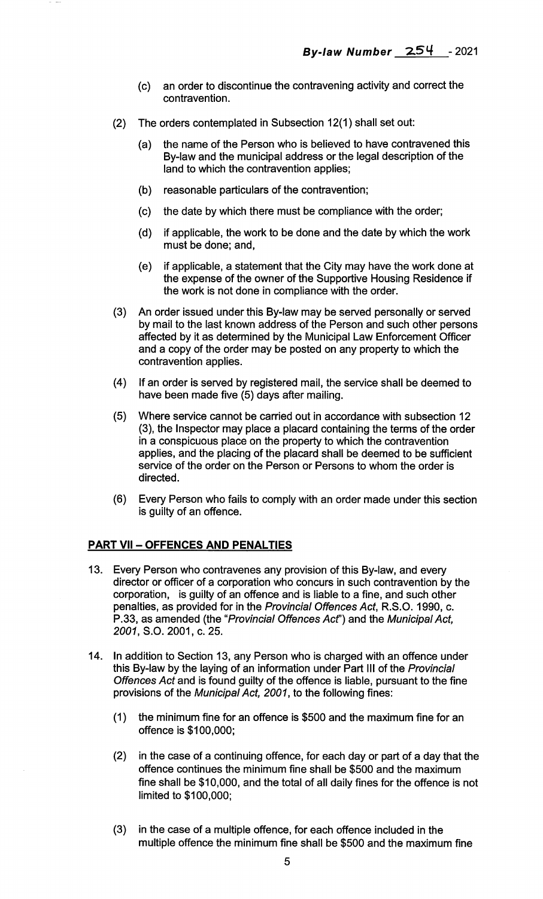- (c) an order to discontinue the contravening activity and correct the contravention.
- (2) The orders contemplated in Subsection 12(1) shall set out:
	- (a) the name of the Person who is believed to have contravened this By-law and the municipal address or the legal description of the land to which the contravention applies;
	- (b) reasonable particulars of the contravention;
	- (c) the date by which there must be compliance with the order;
	- (d) if applicable, the work to be done and the date by which the work must be done; and,
	- (e) if applicable, a statement that the City may have the work done at the expense of the owner of the Supportive Housing Residence if the work is not done in compliance with the order.
- (3) An order issued under this By-law may be served personally or served by mail to the last known address of the Person and such other persons affected by it as determined by the Municipal Law Enforcement Officer and a copy of the order may be posted on any property to which the contravention applies.
- (4) If an order is served by registered mail, the service shall be deemed to have been made five (5) days after mailing.
- (5) Where service cannot be carried out in accordance with subsection 12 (3), the Inspector may place a placard containing the terms of the order in a conspicuous place on the property to which the contravention applies, and the placing of the placard shall be deemed to be sufficient service of the order on the Person or Persons to whom the order is directed.
- (6) Every Person who fails to comply with an order made under this section is guilty of an offence.

## PART VII — OFFENCES AND PENALTIES

- 13. Every Person who contravenes any provision of this By-law, and every director or officer of a corporation who concurs in such contravention by the corporation, is guilty of an offence and is liable to a fine, and such other penalties, as provided for in the Provincial Offences Act, R.S.O. 1990, c. P.33, as amended (the "Provincial Offences Act') and the Municipal Act, 2001, S.O. 2001, c. 25.
- 14. In addition to Section 13, any Person who is charged with an offence under this By-law by the laying of an information under Part III of the Provincial Offences Act and is found guilty of the offence is liable, pursuant to the fine provisions of the Municipal Act, 2001, to the following fines:
	- (1) the minimum fine for an offence is \$500 and the maximum fine for an offence is \$100,000;
	- (2) in the case of a continuing offence, for each day or part of a day that the offence continues the minimum fine shall be \$500 and the maximum fine shall be \$10,000, and the total of all daily fines for the offence is not limited to \$100,000;
	- (3) in the case of a multiple offence, for each offence included in the multiple offence the minimum fine shall be \$500 and the maximum fine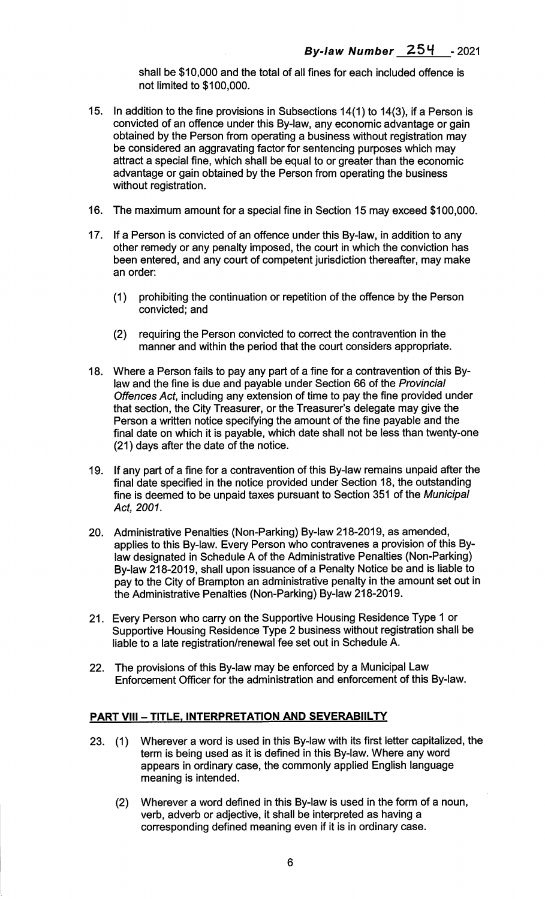shall be \$10,000 and the total of all fines for each included offence is not limited to \$100,000.

- 15. In addition to the fine provisions in Subsections 14(1) to 14(3), if a Person is convicted of an offence under this By-law, any economic advantage or gain obtained by the Person from operating a business without registration may be considered an aggravating factor for sentencing purposes which may attract a special fine, which shall be equal to or greater than the economic advantage or gain obtained by the Person from operating the business without registration.
- 16. The maximum amount for a special fine in Section 15 may exceed \$100,000.
- 17. If a Person is convicted of an offence under this By-law, in addition to any other remedy or any penalty imposed, the court in which the conviction has been entered, and any court of competent jurisdiction thereafter, may make an order:
	- (1) prohibiting the continuation or repetition of the offence by the Person convicted; and
	- (2) requiring the Person convicted to correct the contravention in the manner and within the period that the court considers appropriate.
- 18. Where a Person fails to pay any part of a fine for a contravention of this Bylaw and the fine is due and payable under Section 66 of the Provincial Offences Act, including any extension of time to pay the fine provided under that section, the City Treasurer, or the Treasurer's delegate may give the Person a written notice specifying the amount of the fine payable and the final date on which it is payable, which date shall not be less than twenty-one (21) days after the date of the notice.
- 19. If any part of a fine for a contravention of this By-law remains unpaid after the final date specified in the notice provided under Section 18, the outstanding fine is deemed to be unpaid taxes pursuant to Section 351 of the Municipal Act, 2001.
- 20. Administrative Penalties (Non-Parking) By-law 218-2019, as amended, applies to this By-law. Every Person who contravenes a provision of this Bylaw designated in Schedule A of the Administrative Penalties (Non-Parking) By-law 218-2019, shall upon issuance of a Penalty Notice be and is liable to pay to the City of Brampton an administrative penalty in the amount set out in the Administrative Penalties (Non-Parking) By-law 218-2019.
- 21. Every Person who carry on the Supportive Housing Residence Type 1 or Supportive Housing Residence Type 2 business without registration shall be liable to a late registration/renewal fee set out in Schedule A.
- 22. The provisions of this By-law may be enforced by a Municipal Law Enforcement Officer for the administration and enforcement of this By-law.

#### PART VIII - TITLE, INTERPRETATION AND SEVERABIILTY

- 23. (1) Wherever a word is used in this By-law with its first letter capitalized, the term is being used as it is defined in this By-law. Where any word appears in ordinary case, the commonly applied English language meaning is intended.
	- (2) Wherever a word defined in this By-law is used in the form of a noun, verb, adverb or adjective, it shall be interpreted as having a corresponding defined meaning even if it is in ordinary case.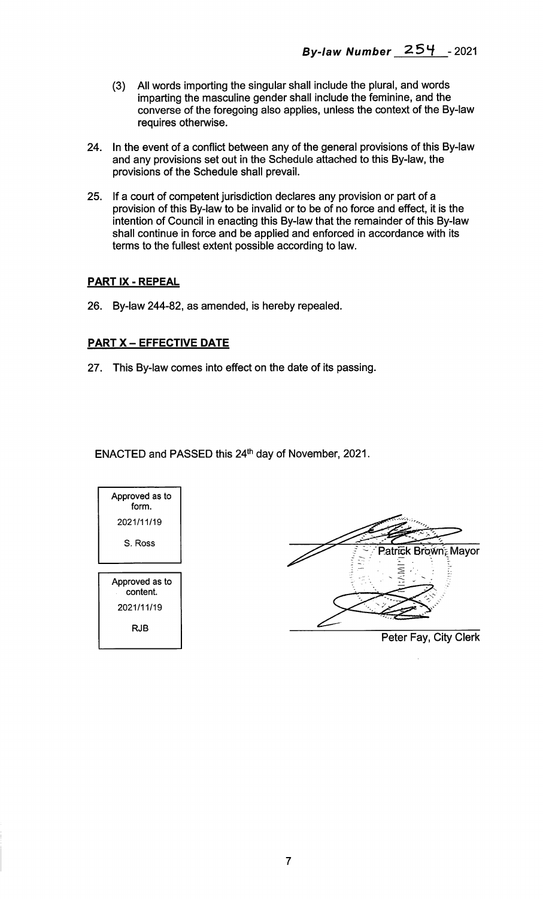- (3) All words importing the singular shall include the plural, and words imparting the masculine gender shall include the feminine, and the converse of the foregoing also applies, unless the context of the By-law requires otherwise.
- 24. In the event of a conflict between any of the general provisions of this By-law and any provisions set out in the Schedule attached to this By-law, the provisions of the Schedule shall prevail.
- 25. If a court of competent jurisdiction declares any provision or part of a provision of this By-law to be invalid or to be of no force and effect, it is the intention of Council in enacting this By-law that the remainder of this By-law shall continue in force and be applied and enforced in accordance with its terms to the fullest extent possible according to law.

## PART IX - REPEAL

26. By-law 244-82, as amended, is hereby repealed.

## PART X - EFFECTIVE DATE

27. This By-law comes into effect on the date of its passing.

ENACTED and PASSED this 24<sup>th</sup> day of November, 2021.



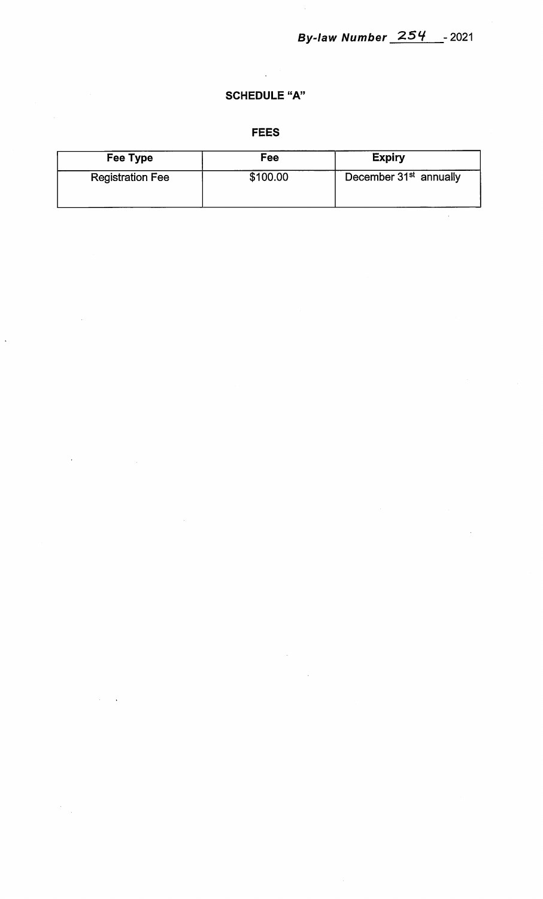$\hat{\mathcal{A}}$ 

# SCHEDULE "A"

 $\hat{\mathcal{A}}$ 

## FEES

| Fee Type                | Fee      | <b>Expiry</b>                      |
|-------------------------|----------|------------------------------------|
| <b>Registration Fee</b> | \$100.00 | December 31 <sup>st</sup> annually |

 $\sim$   $\sim$